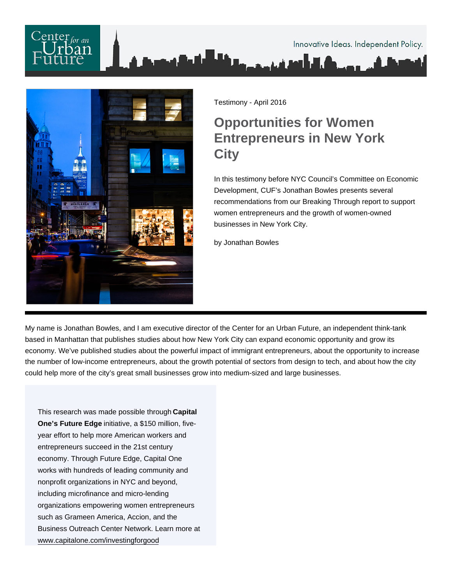

Testimony - April 2016

## Opportunities for Women Entrepreneurs in New York **City**

In this testimony before NYC Council's Committee on Economic Development, CUF's Jonathan Bowles presents several recommendations from our Breaking Through report to support women entrepreneurs and the growth of women-owned businesses in New York City.

by Jonathan Bowles

My name is Jonathan Bowles, and I am executive director of the Center for an Urban Future, an independent think-tank based in Manhattan that publishes studies about how New York City can expand economic opportunity and grow its economy. We've published studies about the powerful impact of immigrant entrepreneurs, about the opportunity to increase the number of low-income entrepreneurs, about the growth potential of sectors from design to tech, and about how the city could help more of the city's great small businesses grow into medium-sized and large businesses.

This research was made possible through Capital One's Future Edge initiative, a \$150 million, fiveyear effort to help more American workers and entrepreneurs succeed in the 21st century economy. Through Future Edge, Capital One works with hundreds of leading community and nonprofit organizations in NYC and beyond, including microfinance and micro-lending organizations empowering women entrepreneurs such as Grameen America, Accion, and the Business Outreach Center Network. Learn more at [www.capitalone.com/investingforgood](http://www.capitalone.com/investingforgood)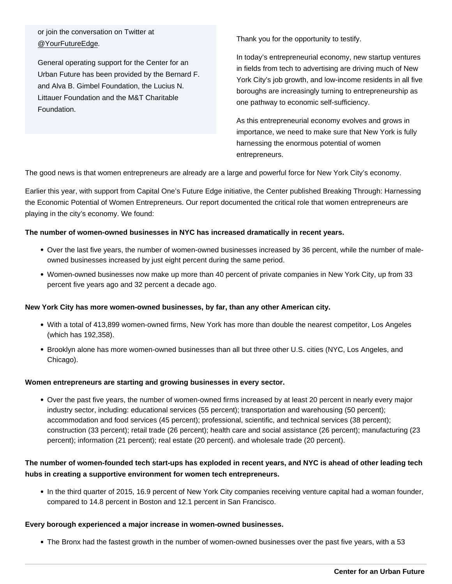or join the conversation on Twitter at [@YourFutureEdge.](//twitter.com/YourFutureEdge)

General operating support for the Center for an Urban Future has been provided by the Bernard F. and Alva B. Gimbel Foundation, the Lucius N. Littauer Foundation and the M&T Charitable Foundation.

Thank you for the opportunity to testify.

In today's entrepreneurial economy, new startup ventures in fields from tech to advertising are driving much of New York City's job growth, and low-income residents in all five boroughs are increasingly turning to entrepreneurship as one pathway to economic self-sufficiency.

As this entrepreneurial economy evolves and grows in importance, we need to make sure that New York is fully harnessing the enormous potential of women entrepreneurs.

The good news is that women entrepreneurs are already are a large and powerful force for New York City's economy.

Earlier this year, with support from Capital One's Future Edge initiative, the Center published Breaking Through: Harnessing the Economic Potential of Women Entrepreneurs. Our report documented the critical role that women entrepreneurs are playing in the city's economy. We found:

The number of women-owned businesses in NYC has increased dramatically in recent years.

- Over the last five years, the number of women-owned businesses increased by 36 percent, while the number of maleowned businesses increased by just eight percent during the same period.
- Women-owned businesses now make up more than 40 percent of private companies in New York City, up from 33 percent five years ago and 32 percent a decade ago.

New York City has more women-owned businesses, by far, than any other American city.

- With a total of 413,899 women-owned firms, New York has more than double the nearest competitor, Los Angeles (which has 192,358).
- Brooklyn alone has more women-owned businesses than all but three other U.S. cities (NYC, Los Angeles, and Chicago).

Women entrepreneurs are starting and growing businesses in every sector.

Over the past five years, the number of women-owned firms increased by at least 20 percent in nearly every major industry sector, including: educational services (55 percent); transportation and warehousing (50 percent); accommodation and food services (45 percent); professional, scientific, and technical services (38 percent); construction (33 percent); retail trade (26 percent); health care and social assistance (26 percent); manufacturing (23 percent); information (21 percent); real estate (20 percent). and wholesale trade (20 percent).

The number of women-founded tech start-ups has exploded in recent years, and NYC is ahead of other leading tech hubs in creating a supportive environment for women tech entrepreneurs.

In the third quarter of 2015, 16.9 percent of New York City companies receiving venture capital had a woman founder, compared to 14.8 percent in Boston and 12.1 percent in San Francisco.

Every borough experienced a major increase in women-owned businesses.

The Bronx had the fastest growth in the number of women-owned businesses over the past five years, with a 53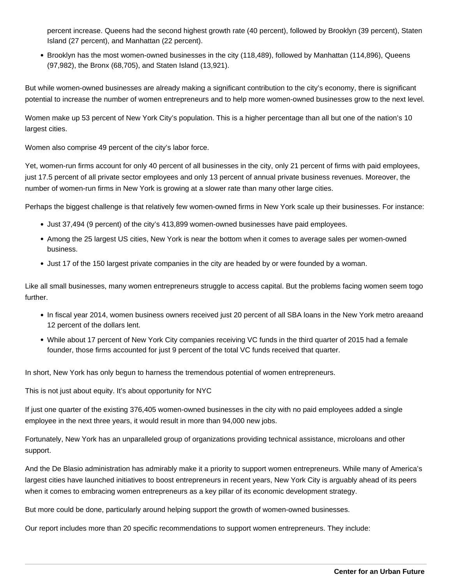percent increase. Queens had the second highest growth rate (40 percent), followed by Brooklyn (39 percent), Staten Island (27 percent), and Manhattan (22 percent).

Brooklyn has the most women-owned businesses in the city (118,489), followed by Manhattan (114,896), Queens (97,982), the Bronx (68,705), and Staten Island (13,921).

But while women-owned businesses are already making a significant contribution to the city's economy, there is significant potential to increase the number of women entrepreneurs and to help more women-owned businesses grow to the next level.

Women make up 53 percent of New York City's population. This is a higher percentage than all but one of the nation's 10 largest cities.

Women also comprise 49 percent of the city's labor force.

Yet, women-run firms account for only 40 percent of all businesses in the city, only 21 percent of firms with paid employees, just 17.5 percent of all private sector employees and only 13 percent of annual private business revenues. Moreover, the number of women-run firms in New York is growing at a slower rate than many other large cities.

Perhaps the biggest challenge is that relatively few women-owned firms in New York scale up their businesses. For instance:

- Just 37,494 (9 percent) of the city's 413,899 women-owned businesses have paid employees.
- Among the 25 largest US cities, New York is near the bottom when it comes to average sales per women-owned business.
- Just 17 of the 150 largest private companies in the city are headed by or were founded by a woman.

Like all small businesses, many women entrepreneurs struggle to access capital. But the problems facing women seem togo further.

- In fiscal year 2014, women business owners received just 20 percent of all SBA loans in the New York metro areaand 12 percent of the dollars lent.
- While about 17 percent of New York City companies receiving VC funds in the third quarter of 2015 had a female founder, those firms accounted for just 9 percent of the total VC funds received that quarter.

In short, New York has only begun to harness the tremendous potential of women entrepreneurs.

This is not just about equity. It's about opportunity for NYC

If just one quarter of the existing 376,405 women-owned businesses in the city with no paid employees added a single employee in the next three years, it would result in more than 94,000 new jobs.

Fortunately, New York has an unparalleled group of organizations providing technical assistance, microloans and other support.

And the De Blasio administration has admirably make it a priority to support women entrepreneurs. While many of America's largest cities have launched initiatives to boost entrepreneurs in recent years, New York City is arguably ahead of its peers when it comes to embracing women entrepreneurs as a key pillar of its economic development strategy.

But more could be done, particularly around helping support the growth of women-owned businesses.

Our report includes more than 20 specific recommendations to support women entrepreneurs. They include: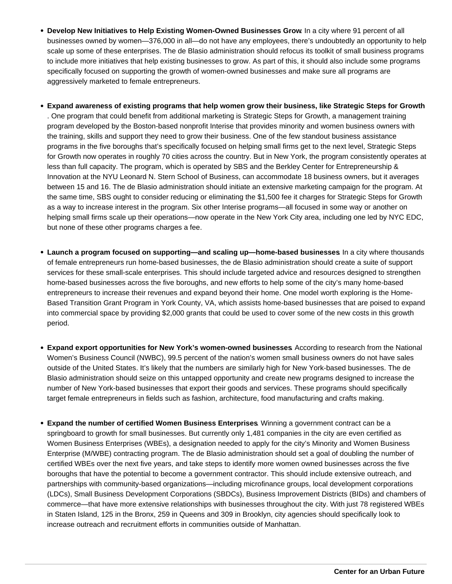- **Develop New Initiatives to Help Existing Women-Owned Businesses Grow**. In a city where 91 percent of all businesses owned by women—376,000 in all—do not have any employees, there's undoubtedly an opportunity to help scale up some of these enterprises. The de Blasio administration should refocus its toolkit of small business programs to include more initiatives that help existing businesses to grow. As part of this, it should also include some programs specifically focused on supporting the growth of women-owned businesses and make sure all programs are aggressively marketed to female entrepreneurs.
- **Expand awareness of existing programs that help women grow their business, like Strategic Steps for Growth** . One program that could benefit from additional marketing is Strategic Steps for Growth, a management training program developed by the Boston-based nonprofit Interise that provides minority and women business owners with the training, skills and support they need to grow their business. One of the few standout business assistance programs in the five boroughs that's specifically focused on helping small firms get to the next level, Strategic Steps for Growth now operates in roughly 70 cities across the country. But in New York, the program consistently operates at less than full capacity. The program, which is operated by SBS and the Berkley Center for Entrepreneurship & Innovation at the NYU Leonard N. Stern School of Business, can accommodate 18 business owners, but it averages between 15 and 16. The de Blasio administration should initiate an extensive marketing campaign for the program. At the same time, SBS ought to consider reducing or eliminating the \$1,500 fee it charges for Strategic Steps for Growth as a way to increase interest in the program. Six other Interise programs—all focused in some way or another on helping small firms scale up their operations—now operate in the New York City area, including one led by NYC EDC, but none of these other programs charges a fee.
- **Launch a program focused on supporting—and scaling up—home-based businesses**. In a city where thousands of female entrepreneurs run home-based businesses, the de Blasio administration should create a suite of support services for these small-scale enterprises. This should include targeted advice and resources designed to strengthen home-based businesses across the five boroughs, and new efforts to help some of the city's many home-based entrepreneurs to increase their revenues and expand beyond their home. One model worth exploring is the Home-Based Transition Grant Program in York County, VA, which assists home-based businesses that are poised to expand into commercial space by providing \$2,000 grants that could be used to cover some of the new costs in this growth period.
- **Expand export opportunities for New York's women-owned businesses**. According to research from the National Women's Business Council (NWBC), 99.5 percent of the nation's women small business owners do not have sales outside of the United States. It's likely that the numbers are similarly high for New York-based businesses. The de Blasio administration should seize on this untapped opportunity and create new programs designed to increase the number of New York-based businesses that export their goods and services. These programs should specifically target female entrepreneurs in fields such as fashion, architecture, food manufacturing and crafts making.
- **Expand the number of certified Women Business Enterprises**. Winning a government contract can be a springboard to growth for small businesses. But currently only 1,481 companies in the city are even certified as Women Business Enterprises (WBEs), a designation needed to apply for the city's Minority and Women Business Enterprise (M/WBE) contracting program. The de Blasio administration should set a goal of doubling the number of certified WBEs over the next five years, and take steps to identify more women owned businesses across the five boroughs that have the potential to become a government contractor. This should include extensive outreach, and partnerships with community-based organizations—including microfinance groups, local development corporations (LDCs), Small Business Development Corporations (SBDCs), Business Improvement Districts (BIDs) and chambers of commerce—that have more extensive relationships with businesses throughout the city. With just 78 registered WBEs in Staten Island, 125 in the Bronx, 259 in Queens and 309 in Brooklyn, city agencies should specifically look to increase outreach and recruitment efforts in communities outside of Manhattan.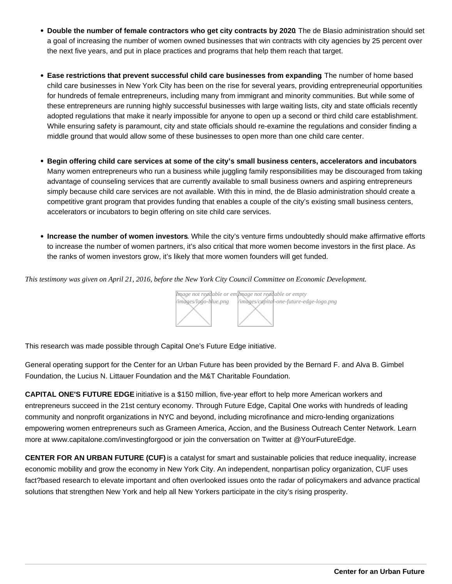- Double the number of female contractors who get city contracts by 2020 . The de Blasio administration should set a goal of increasing the number of women owned businesses that win contracts with city agencies by 25 percent over the next five years, and put in place practices and programs that help them reach that target.
- Ease restrictions that prevent successful child care businesses from expanding . The number of home based child care businesses in New York City has been on the rise for several years, providing entrepreneurial opportunities for hundreds of female entrepreneurs, including many from immigrant and minority communities. But while some of these entrepreneurs are running highly successful businesses with large waiting lists, city and state officials recently adopted regulations that make it nearly impossible for anyone to open up a second or third child care establishment. While ensuring safety is paramount, city and state officials should re-examine the regulations and consider finding a middle ground that would allow some of these businesses to open more than one child care center.
- Begin offering child care services at some of the city's small business centers, accelerators and incubators Many women entrepreneurs who run a business while juggling family responsibilities may be discouraged from taking advantage of counseling services that are currently available to small business owners and aspiring entrepreneurs simply because child care services are not available. With this in mind, the de Blasio administration should create a competitive grant program that provides funding that enables a couple of the city's existing small business centers, accelerators or incubators to begin offering on site child care services.
- Increase the number of women investors . While the city's venture firms undoubtedly should make affirmative efforts to increase the number of women partners, it's also critical that more women become investors in the first place. As the ranks of women investors grow, it's likely that more women founders will get funded.

This testimony was given on April 21, 2016, before the New York City Council Committee on Economic Development.

[Image not read](https://nycfuture.org)able or elmarge not readable or empty /images/logo-blue.png /images/capital-one-future-edge-logo.png

This research was made possible through Capital One's Future E[dge initiative.](http://www.capitaloneinvestingforgood.com/skills/future-edge-get-ready/)

General operating support for the Center for an Urban Future has been provided by the Bernard F. and Alva B. Gimbel Foundation, the Lucius N. Littauer Foundation and the M&T Charitable Foundation.

CAPITAL ONE'S FUTURE EDGE initiative is a \$150 million, five-year effort to help more American workers and entrepreneurs succeed in the 21st century economy. Through Future Edge, Capital One works with hundreds of leading community and nonprofit organizations in NYC and beyond, including microfinance and micro-lending organizations empowering women entrepreneurs such as Grameen America, Accion, and the Business Outreach Center Network. Learn more at www.capitalone.com/investingforgood or join the conversation on Twitter at @YourFutureEdge.

CENTER FOR AN URBAN FUTURE (CUF) is a catalyst for smart and sustainable policies that reduce inequality, increase economic mobility and grow the economy in New York City. An independent, nonpartisan policy organization, CUF uses fact?based research to elevate important and often overlooked issues onto the radar of policymakers and advance practical solutions that strengthen New York and help all New Yorkers participate in the city's rising prosperity.